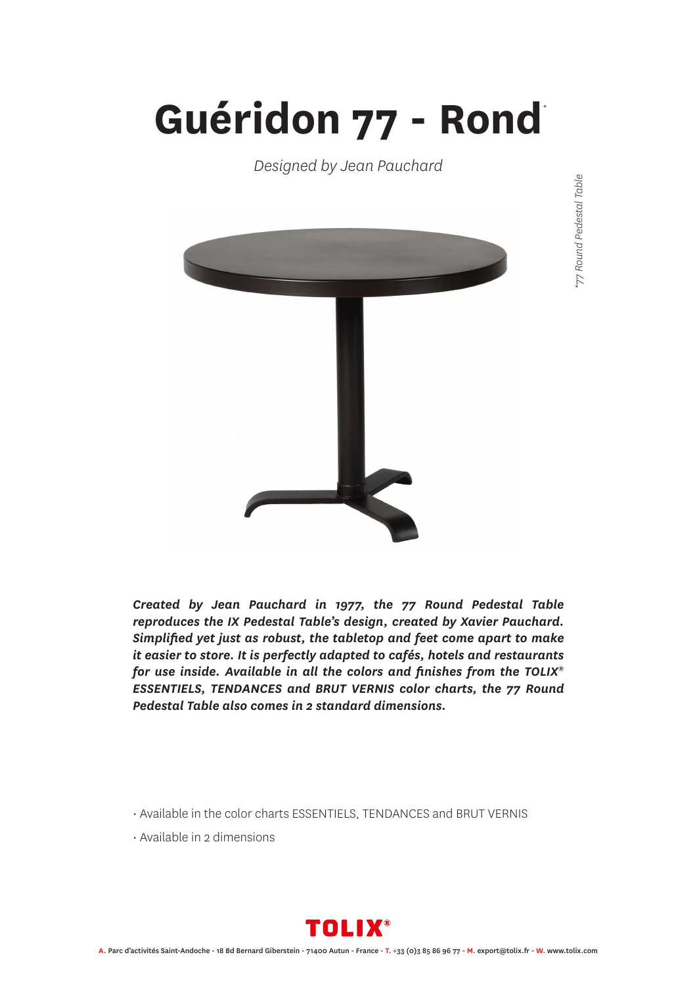## **Guéridon 77 - Rond** *\**

*Designed by Jean Pauchard*



77 Round Pedestal Table *\*77 Round Pedestal Table*

*Created by Jean Pauchard in 1977, the 77 Round Pedestal Table reproduces the IX Pedestal Table's design, created by Xavier Pauchard. Simplified yet just as robust, the tabletop and feet come apart to make it easier to store. It is perfectly adapted to cafés, hotels and restaurants for use inside. Available in all the colors and finishes from the TOLIX® ESSENTIELS, TENDANCES and BRUT VERNIS color charts, the 77 Round Pedestal Table also comes in 2 standard dimensions.*

• Available in the color charts ESSENTIELS, TENDANCES and BRUT VERNIS

• Available in 2 dimensions